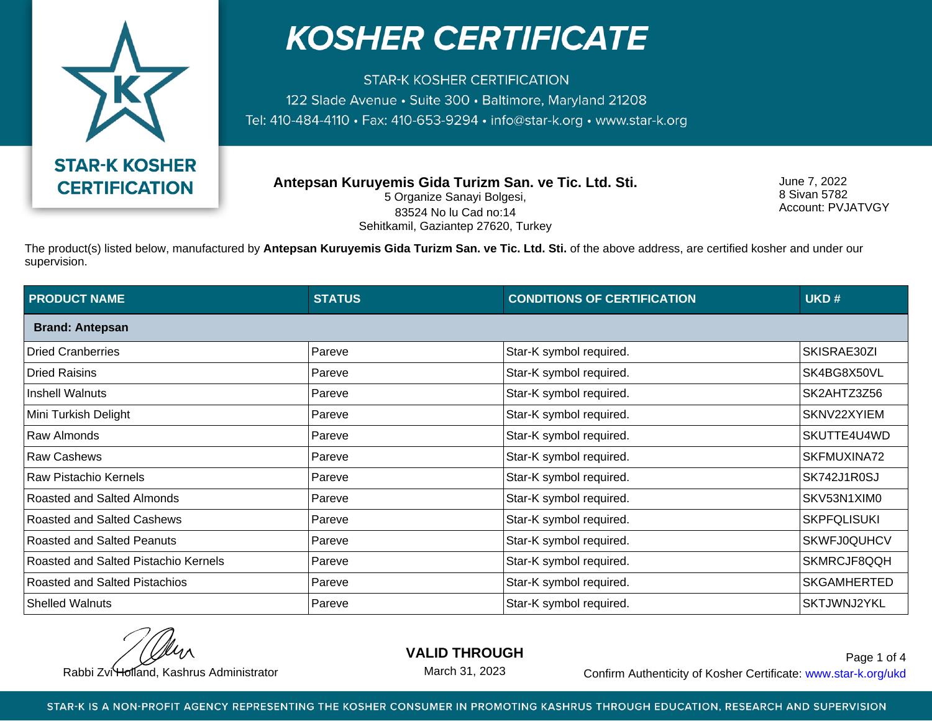

**STAR-K KOSHER CERTIFICATION** 122 Slade Avenue · Suite 300 · Baltimore, Maryland 21208 Tel: 410-484-4110 · Fax: 410-653-9294 · info@star-k.org · www.star-k.org

**Antepsan Kuruyemis Gida Turizm San. ve Tic. Ltd. Sti.** 5 Organize Sanayi Bolgesi, 83524 No lu Cad no:14 Sehitkamil, Gaziantep 27620, Turkey

June 7, 2022 8 Sivan 5782 Account: PVJATVGY

The product(s) listed below, manufactured by **Antepsan Kuruyemis Gida Turizm San. ve Tic. Ltd. Sti.** of the above address, are certified kosher and under our supervision.

| <b>PRODUCT NAME</b>                  | <b>STATUS</b> | <b>CONDITIONS OF CERTIFICATION</b> | UKD#               |  |  |
|--------------------------------------|---------------|------------------------------------|--------------------|--|--|
| <b>Brand: Antepsan</b>               |               |                                    |                    |  |  |
| <b>Dried Cranberries</b>             | Pareve        | Star-K symbol required.            | SKISRAE30ZI        |  |  |
| <b>Dried Raisins</b>                 | Pareve        | Star-K symbol required.            | SK4BG8X50VL        |  |  |
| <b>Inshell Walnuts</b>               | Pareve        | Star-K symbol required.            | SK2AHTZ3Z56        |  |  |
| Mini Turkish Delight                 | Pareve        | Star-K symbol required.            | SKNV22XYIEM        |  |  |
| Raw Almonds                          | Pareve        | Star-K symbol required.            | SKUTTE4U4WD        |  |  |
| <b>Raw Cashews</b>                   | Pareve        | Star-K symbol required.            | SKFMUXINA72        |  |  |
| Raw Pistachio Kernels                | Pareve        | Star-K symbol required.            | SK742J1R0SJ        |  |  |
| Roasted and Salted Almonds           | Pareve        | Star-K symbol required.            | SKV53N1XIM0        |  |  |
| Roasted and Salted Cashews           | Pareve        | Star-K symbol required.            | <b>SKPFQLISUKI</b> |  |  |
| Roasted and Salted Peanuts           | Pareve        | Star-K symbol required.            | <b>SKWFJ0QUHCV</b> |  |  |
| Roasted and Salted Pistachio Kernels | Pareve        | Star-K symbol required.            | SKMRCJF8QQH        |  |  |
| <b>Roasted and Salted Pistachios</b> | Pareve        | Star-K symbol required.            | <b>SKGAMHERTED</b> |  |  |
| <b>Shelled Walnuts</b>               | Pareve        | Star-K symbol required.            | SKTJWNJ2YKL        |  |  |

**VALID THROUGH**

March 31, 2023

Rabbi Zvi Holland, Kashrus Administrator **Confirm Authenticity of Kosher Certificate:** www.star-k.org/ukd Page 1 of 4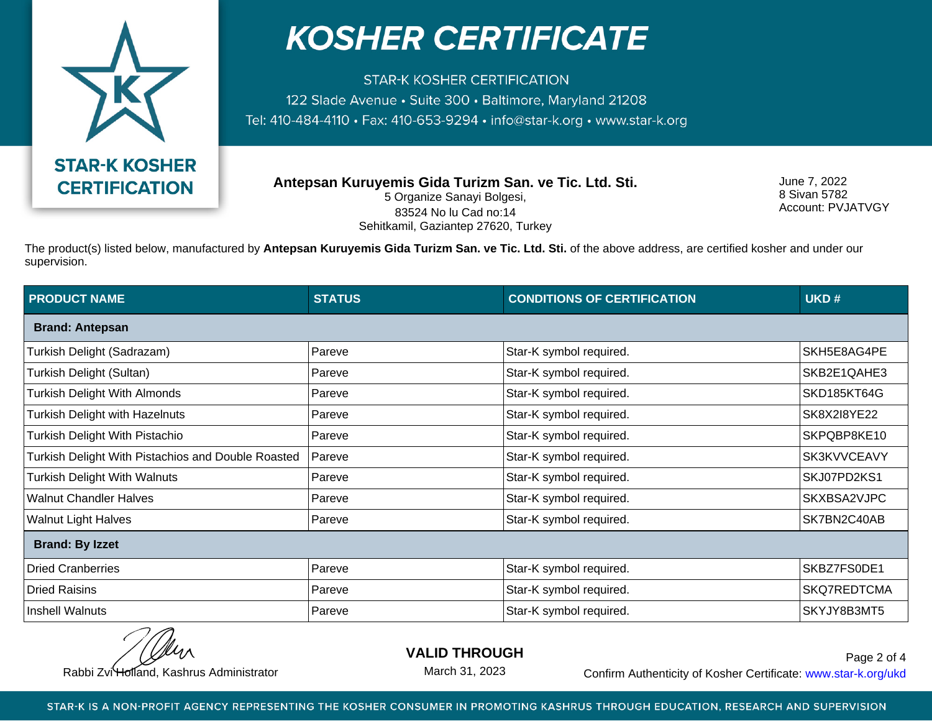

**STAR-K KOSHER CERTIFICATION** 122 Slade Avenue · Suite 300 · Baltimore, Maryland 21208 Tel: 410-484-4110 · Fax: 410-653-9294 · info@star-k.org · www.star-k.org

**Antepsan Kuruyemis Gida Turizm San. ve Tic. Ltd. Sti.** 5 Organize Sanayi Bolgesi, 83524 No lu Cad no:14 Sehitkamil, Gaziantep 27620, Turkey

June 7, 2022 8 Sivan 5782 Account: PVJATVGY

The product(s) listed below, manufactured by **Antepsan Kuruyemis Gida Turizm San. ve Tic. Ltd. Sti.** of the above address, are certified kosher and under our supervision.

| <b>PRODUCT NAME</b>                                | <b>STATUS</b> | <b>CONDITIONS OF CERTIFICATION</b> | UKD#        |  |
|----------------------------------------------------|---------------|------------------------------------|-------------|--|
| <b>Brand: Antepsan</b>                             |               |                                    |             |  |
| Turkish Delight (Sadrazam)                         | Pareve        | Star-K symbol required.            | SKH5E8AG4PE |  |
| Turkish Delight (Sultan)                           | Pareve        | Star-K symbol required.            | SKB2E1QAHE3 |  |
| <b>Turkish Delight With Almonds</b>                | Pareve        | Star-K symbol required.            | SKD185KT64G |  |
| Turkish Delight with Hazelnuts                     | Pareve        | Star-K symbol required.            | SK8X2I8YE22 |  |
| Turkish Delight With Pistachio                     | Pareve        | Star-K symbol required.            | SKPQBP8KE10 |  |
| Turkish Delight With Pistachios and Double Roasted | Pareve        | Star-K symbol required.            | SK3KVVCEAVY |  |
| <b>Turkish Delight With Walnuts</b>                | Pareve        | Star-K symbol required.            | SKJ07PD2KS1 |  |
| <b>Walnut Chandler Halves</b>                      | Pareve        | Star-K symbol required.            | SKXBSA2VJPC |  |
| <b>Walnut Light Halves</b>                         | Pareve        | Star-K symbol required.            | SK7BN2C40AB |  |
| <b>Brand: By Izzet</b>                             |               |                                    |             |  |
| <b>Dried Cranberries</b>                           | Pareve        | Star-K symbol required.            | SKBZ7FS0DE1 |  |
| <b>Dried Raisins</b>                               | Pareve        | Star-K symbol required.            | SKQ7REDTCMA |  |
| Inshell Walnuts                                    | Pareve        | Star-K symbol required.            | SKYJY8B3MT5 |  |

**VALID THROUGH**

March 31, 2023

Rabbi Zvi Holland, Kashrus Administrator **Confirm Authenticity of Kosher Certificate:** www.star-k.org/ukd Page 2 of 4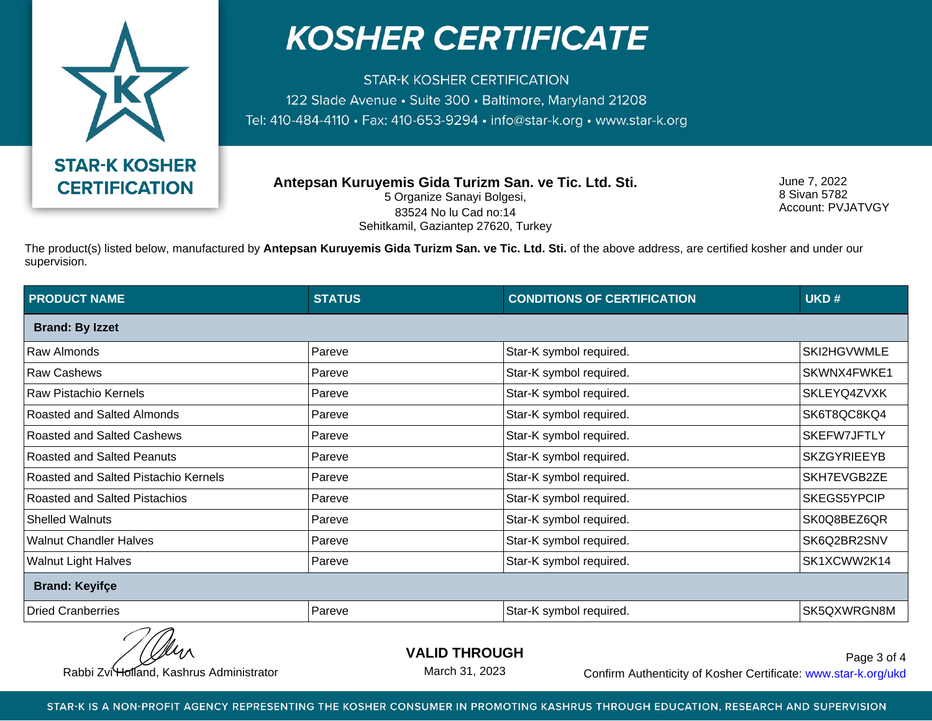

**STAR-K KOSHER CERTIFICATION** 122 Slade Avenue · Suite 300 · Baltimore, Maryland 21208 Tel: 410-484-4110 · Fax: 410-653-9294 · info@star-k.org · www.star-k.org

**Antepsan Kuruyemis Gida Turizm San. ve Tic. Ltd. Sti.** 5 Organize Sanayi Bolgesi, 83524 No lu Cad no:14 Sehitkamil, Gaziantep 27620, Turkey

June 7, 2022 8 Sivan 5782 Account: PVJATVGY

The product(s) listed below, manufactured by **Antepsan Kuruyemis Gida Turizm San. ve Tic. Ltd. Sti.** of the above address, are certified kosher and under our supervision.

| <b>STATUS</b>          | <b>CONDITIONS OF CERTIFICATION</b> | UKD#               |  |  |  |
|------------------------|------------------------------------|--------------------|--|--|--|
| <b>Brand: By Izzet</b> |                                    |                    |  |  |  |
| Pareve                 | Star-K symbol required.            | SKI2HGVWMLE        |  |  |  |
| Pareve                 | Star-K symbol required.            | SKWNX4FWKE1        |  |  |  |
| Pareve                 | Star-K symbol required.            | SKLEYQ4ZVXK        |  |  |  |
| Pareve                 | Star-K symbol required.            | SK6T8QC8KQ4        |  |  |  |
| Pareve                 | Star-K symbol required.            | SKEFW7JFTLY        |  |  |  |
| Pareve                 | Star-K symbol required.            | <b>SKZGYRIEEYB</b> |  |  |  |
| Pareve                 | Star-K symbol required.            | SKH7EVGB2ZE        |  |  |  |
| Pareve                 | Star-K symbol required.            | SKEGS5YPCIP        |  |  |  |
| Pareve                 | Star-K symbol required.            | SK0Q8BEZ6QR        |  |  |  |
| Pareve                 | Star-K symbol required.            | SK6Q2BR2SNV        |  |  |  |
| Pareve                 | Star-K symbol required.            | SK1XCWW2K14        |  |  |  |
| <b>Brand: Keyifçe</b>  |                                    |                    |  |  |  |
| Pareve                 | Star-K symbol required.            | SK5QXWRGN8M        |  |  |  |
|                        |                                    |                    |  |  |  |

**VALID THROUGH**

March 31, 2023

Rabbi Zvi Holland, Kashrus Administrator **Confirm Authenticity of Kosher Certificate:** www.star-k.org/ukd Page 3 of 4